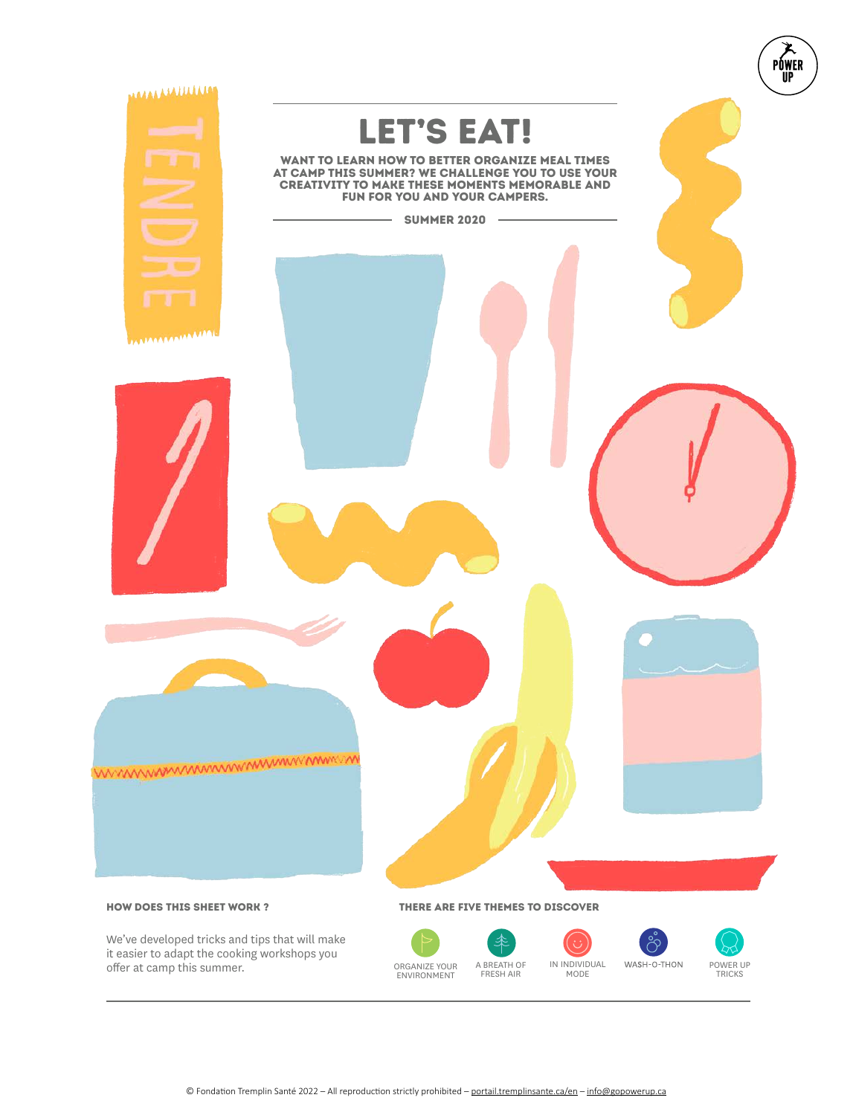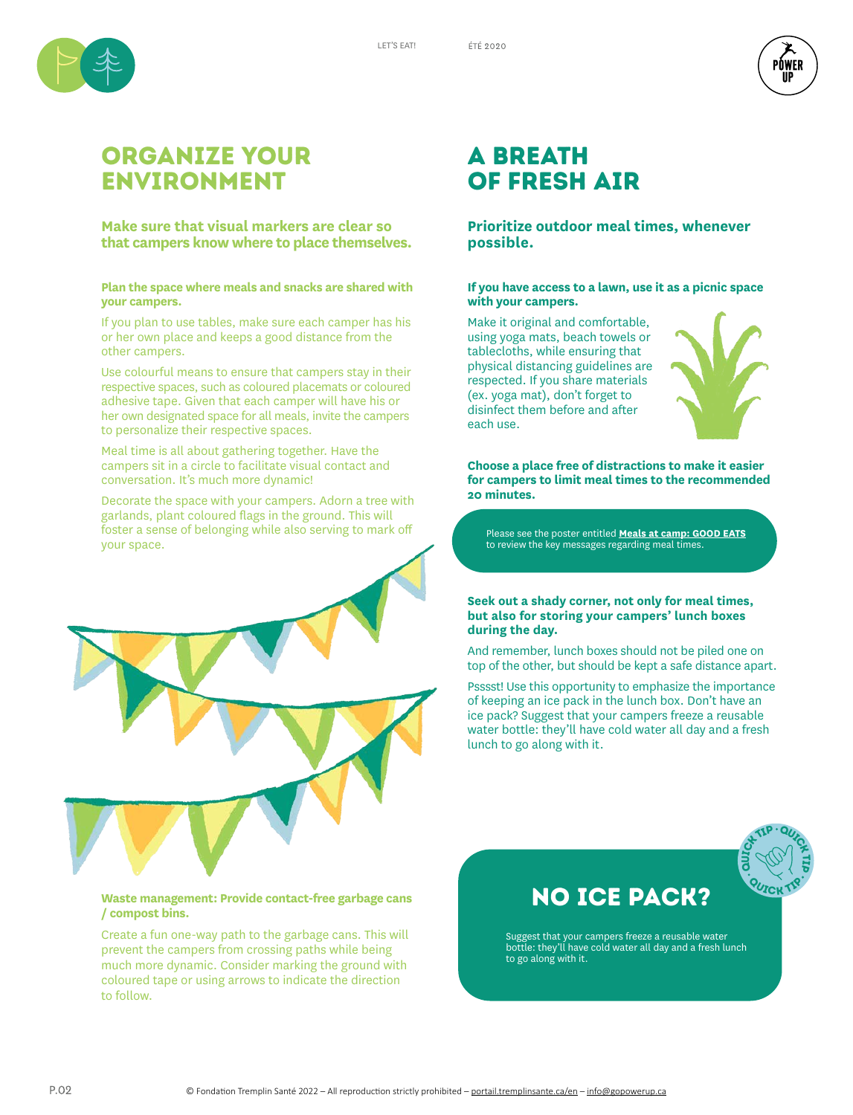LET'S EAT!



## Organize your environment

**Make sure that visual markers are clear so that campers know where to place themselves.**

## **Plan the space where meals and snacks are shared with your campers.**

If you plan to use tables, make sure each camper has his or her own place and keeps a good distance from the other campers.

Use colourful means to ensure that campers stay in their respective spaces, such as coloured placemats or coloured adhesive tape. Given that each camper will have his or her own designated space for all meals, invite the campers to personalize their respective spaces.

Meal time is all about gathering together. Have the campers sit in a circle to facilitate visual contact and conversation. It's much more dynamic!

Decorate the space with your campers. Adorn a tree with garlands, plant coloured flags in the ground. This will foster a sense of belonging while also serving to mark off your space.



## **Waste management: Provide contact-free garbage cans / compost bins.**

Create a fun one-way path to the garbage cans. This will prevent the campers from crossing paths while being much more dynamic. Consider marking the ground with coloured tape or using arrows to indicate the direction to follow.

## A breath of fresh air

## **Prioritize outdoor meal times, whenever possible.**

## **If you have access to a lawn, use it as a picnic space with your campers.**

Make it original and comfortable, using yoga mats, beach towels or tablecloths, while ensuring that physical distancing guidelines are respected. If you share materials (ex. yoga mat), don't forget to disinfect them before and after each use.



≀ŃWFR

**Choose a place free of distractions to make it easier for campers to limit meal times to the recommended 20 minutes.**

Please see the poster entitled **Meals at camp: GOOD EATS** to review the key messages regarding meal times.

## **Seek out a shady corner, not only for meal times, but also for storing your campers' lunch boxes during the day.**

And remember, lunch boxes should not be piled one on top of the other, but should be kept a safe distance apart.

Psssst! Use this opportunity to emphasize the importance of keeping an ice pack in the lunch box. Don't have an ice pack? Suggest that your campers freeze a reusable water bottle: they'll have cold water all day and a fresh lunch to go along with it.



## NO ICE PACK?

Suggest that your campers freeze a reusable water bottle: they'll have cold water all day and a fresh lunch to go along with it.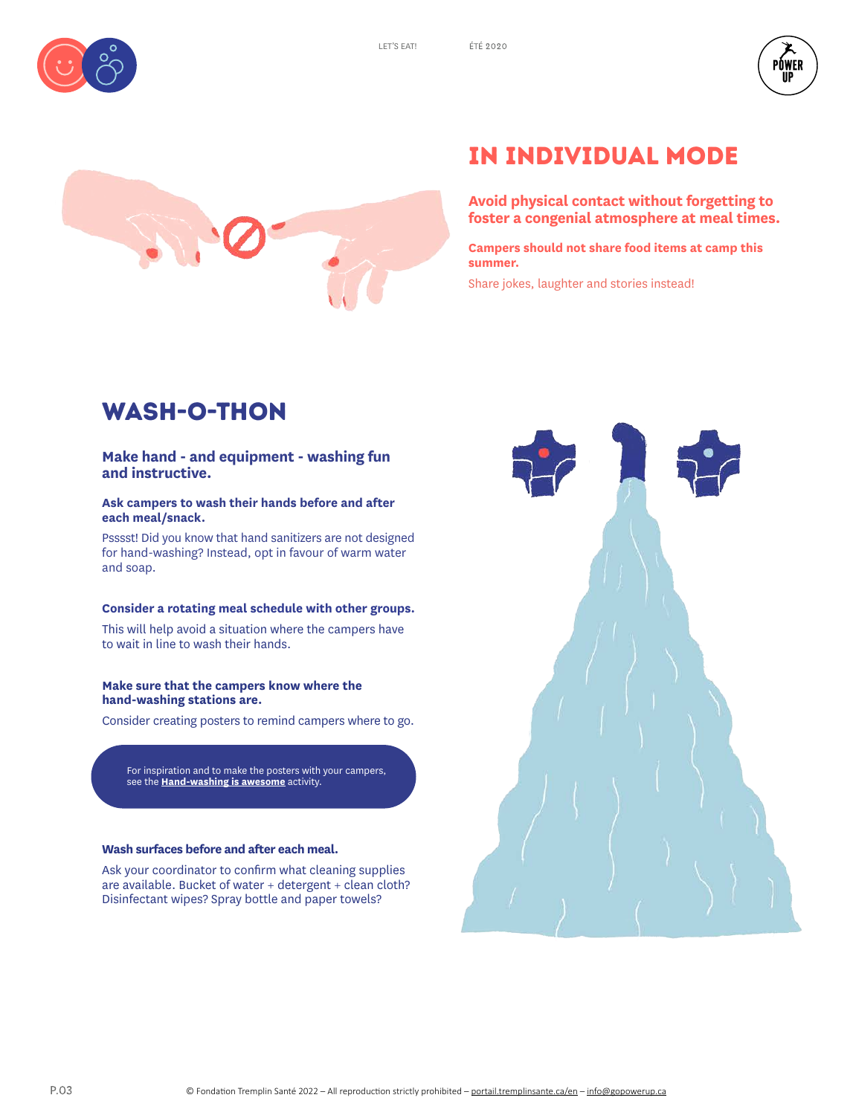







# IN individual mode

**Avoid physical contact without forgetting to foster a congenial atmosphere at meal times.** 

**Campers should not share food items at camp this summer.** 

Share jokes, laughter and stories instead!

# wash-o-THON

## **Make hand - and equipment - washing fun and instructive.**

## **Ask campers to wash their hands before and after each meal/snack.**

Psssst! Did you know that hand sanitizers are not designed for hand-washing? Instead, opt in favour of warm water and soap.

## **Consider a rotating meal schedule with other groups.**

This will help avoid a situation where the campers have to wait in line to wash their hands.

## **Make sure that the campers know where the hand-washing stations are.**

Consider creating posters to remind campers where to go.

For inspiration and to make the posters with your campers, see the **Hand-washing is awesome** activity.

## **Wash surfaces before and after each meal.**

Ask your coordinator to confirm what cleaning supplies are available. Bucket of water + detergent + clean cloth? Disinfectant wipes? Spray bottle and paper towels?